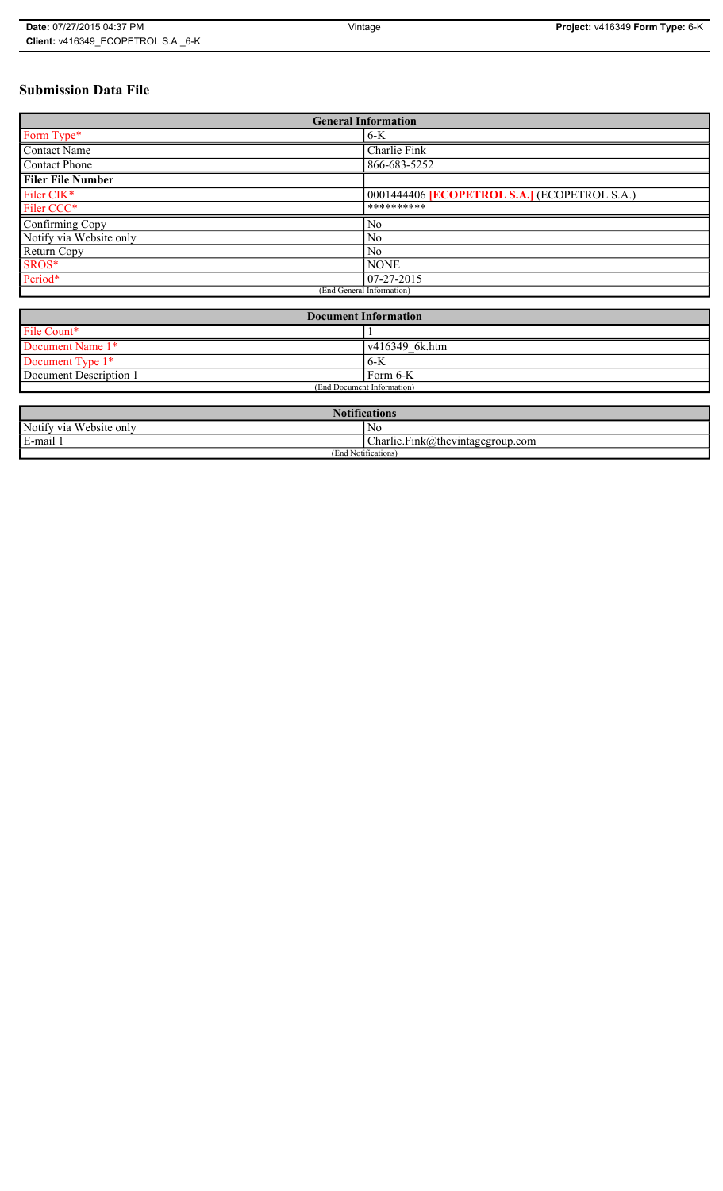# **Submission Data File**

| <b>General Information</b> |                                                     |  |
|----------------------------|-----------------------------------------------------|--|
| Form Type*                 | $6-K$                                               |  |
| <b>Contact Name</b>        | Charlie Fink                                        |  |
| <b>Contact Phone</b>       | 866-683-5252                                        |  |
| <b>Filer File Number</b>   |                                                     |  |
| Filer CIK*                 | 0001444406 <b>[ECOPETROL S.A.]</b> (ECOPETROL S.A.) |  |
| Filer CCC*                 | **********                                          |  |
| Confirming Copy            | N <sub>0</sub>                                      |  |
| Notify via Website only    | N <sub>0</sub>                                      |  |
| Return Copy                | N <sub>0</sub>                                      |  |
| SROS*                      | <b>NONE</b>                                         |  |
| Period*                    | $07-27-2015$                                        |  |
| (End General Information)  |                                                     |  |

| <b>Document Information</b> |                |  |
|-----------------------------|----------------|--|
| File Count*                 |                |  |
| Document Name 1*            | v416349 6k.htm |  |
| Document Type 1*            | ' 6-K          |  |
| Document Description 1      | Form 6-K       |  |
| (End Document Information)  |                |  |

| <b>Notifications</b>    |                                  |  |
|-------------------------|----------------------------------|--|
| Notify via Website only | No                               |  |
| E-mail 1                | Charlie.Fink@thevintagegroup.com |  |
| (End Notifications)     |                                  |  |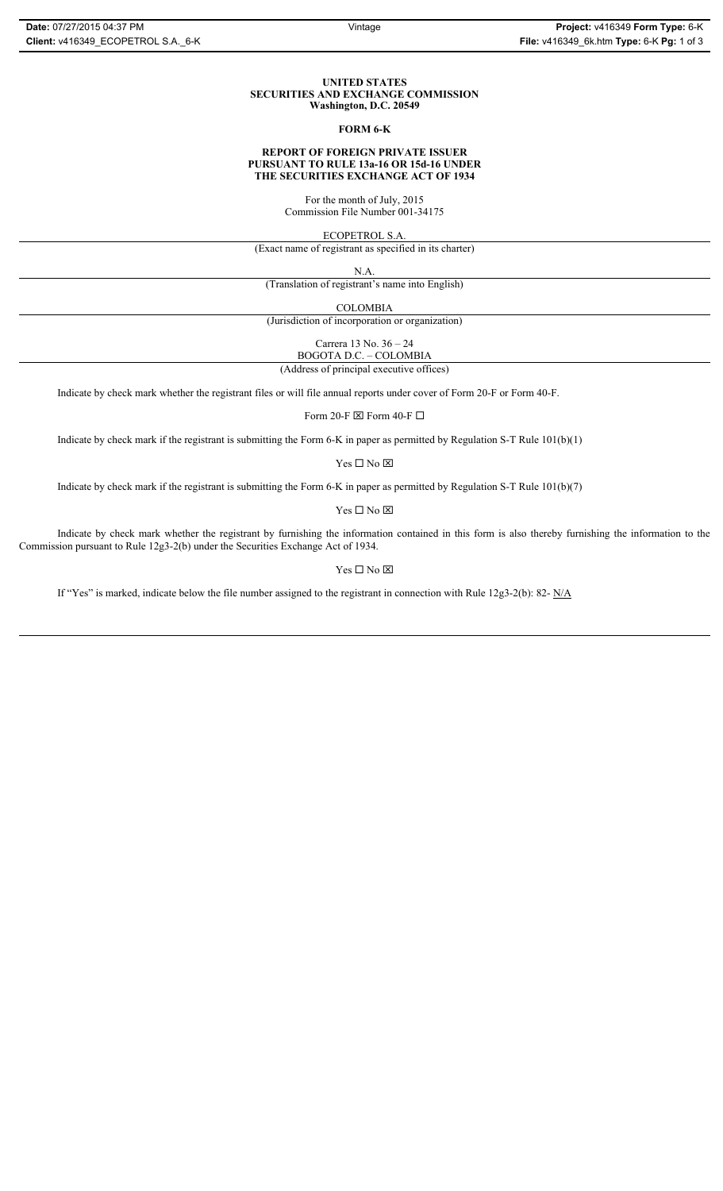#### **UNITED STATES SECURITIES AND EXCHANGE COMMISSION Washington, D.C. 20549**

#### **FORM 6-K**

## **REPORT OF FOREIGN PRIVATE ISSUER PURSUANT TO RULE 13a-16 OR 15d-16 UNDER THE SECURITIES EXCHANGE ACT OF 1934**

For the month of July, 2015 Commission File Number 001-34175

ECOPETROL S.A.

(Exact name of registrant as specified in its charter)

N.A.

(Translation of registrant's name into English)

COLOMBIA

(Jurisdiction of incorporation or organization)

Carrera 13 No. 36 – 24

BOGOTA D.C. – COLOMBIA (Address of principal executive offices)

Indicate by check mark whether the registrant files or will file annual reports under cover of Form 20-F or Form 40-F.

Form 20-F  $\boxtimes$  Form 40-F  $\Box$ 

Indicate by check mark if the registrant is submitting the Form 6-K in paper as permitted by Regulation S-T Rule 101(b)(1)

Yes $\Box$  No  $\boxtimes$ 

Indicate by check mark if the registrant is submitting the Form 6-K in paper as permitted by Regulation S-T Rule 101(b)(7)

Yes $\Box$  No  $\boxtimes$ 

Indicate by check mark whether the registrant by furnishing the information contained in this form is also thereby furnishing the information to the Commission pursuant to Rule 12g3-2(b) under the Securities Exchange Act of 1934.

### Yes $\Box$  No  $\boxtimes$

If "Yes" is marked, indicate below the file number assigned to the registrant in connection with Rule 12g3-2(b): 82- N/A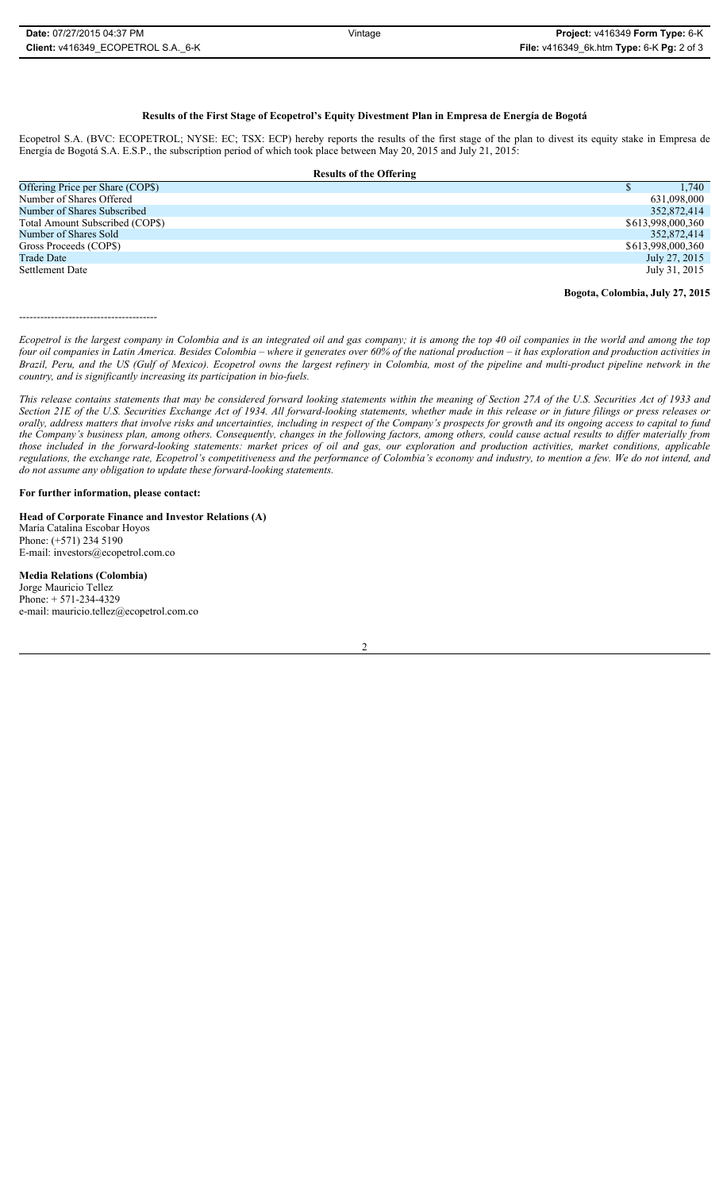## **Results of the First Stage of Ecopetrol's Equity Divestment Plan in Empresa de Energía de Bogotá**

Ecopetrol S.A. (BVC: ECOPETROL; NYSE: EC; TSX: ECP) hereby reports the results of the first stage of the plan to divest its equity stake in Empresa de Energía de Bogotá S.A. E.S.P., the subscription period of which took place between May 20, 2015 and July 21, 2015:

| <b>Results of the Offering</b>   |                   |  |
|----------------------------------|-------------------|--|
| Offering Price per Share (COP\$) | 1.740             |  |
| Number of Shares Offered         | 631,098,000       |  |
| Number of Shares Subscribed      | 352,872,414       |  |
| Total Amount Subscribed (COP\$)  | \$613,998,000,360 |  |
| Number of Shares Sold            | 352,872,414       |  |
| Gross Proceeds (COP\$)           | \$613,998,000,360 |  |
| <b>Trade Date</b>                | July 27, 2015     |  |
| Settlement Date                  | July 31, 2015     |  |
|                                  |                   |  |

**Bogota, Colombia, July 27, 2015**

---------------------------------------

*Ecopetrol is the largest company in Colombia and is an integrated oil and gas company; it is among the top 40 oil companies in the world and among the top four oil companies in Latin America. Besides Colombia – where it generates over 60% of the national production – it has exploration and production activities in Brazil, Peru, and the US (Gulf of Mexico). Ecopetrol owns the largest refinery in Colombia, most of the pipeline and multi-product pipeline network in the country, and is significantly increasing its participation in bio-fuels.* 

*This release contains statements that may be considered forward looking statements within the meaning of Section 27A of the U.S. Securities Act of 1933 and Section 21E of the U.S. Securities Exchange Act of 1934. All forward-looking statements, whether made in this release or in future filings or press releases or orally, address matters that involve risks and uncertainties, including in respect of the Company's prospects for growth and its ongoing access to capital to fund the Company's business plan, among others. Consequently, changes in the following factors, among others, could cause actual results to differ materially from those included in the forward-looking statements: market prices of oil and gas, our exploration and production activities, market conditions, applicable regulations, the exchange rate, Ecopetrol's competitiveness and the performance of Colombia's economy and industry, to mention a few. We do not intend, and do not assume any obligation to update these forward-looking statements.*

## **For further information, please contact:**

**Head of Corporate Finance and Investor Relations (A)** María Catalina Escobar Hoyos Phone: (+571) 234 5190 E-mail: investors@ecopetrol.com.co

**Media Relations (Colombia)**  Jorge Mauricio Tellez Phone: + 571-234-4329 e-mail: mauricio.tellez@ecopetrol.com.co

2